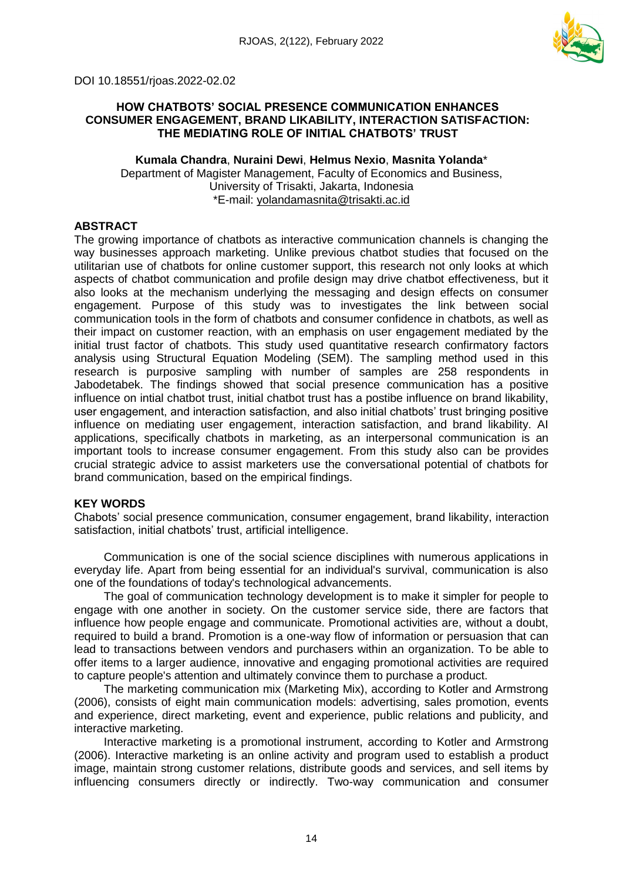

DOI 10.18551/rjoas.2022-02.02

### **HOW CHATBOTS' SOCIAL PRESENCE COMMUNICATION ENHANCES CONSUMER ENGAGEMENT, BRAND LIKABILITY, INTERACTION SATISFACTION: THE MEDIATING ROLE OF INITIAL CHATBOTS' TRUST**

### **Kumala Chandra**, **Nuraini Dewi**, **Helmus Nexio**, **Masnita Yolanda**\* Department of Magister Management, Faculty of Economics and Business, University of Trisakti, Jakarta, Indonesia \*E-mail: [yolandamasnita@trisakti.ac.id](mailto:yolandamasnita@trisakti.ac.id)

# **ABSTRACT**

The growing importance of chatbots as interactive communication channels is changing the way businesses approach marketing. Unlike previous chatbot studies that focused on the utilitarian use of chatbots for online customer support, this research not only looks at which aspects of chatbot communication and profile design may drive chatbot effectiveness, but it also looks at the mechanism underlying the messaging and design effects on consumer engagement. Purpose of this study was to investigates the link between social communication tools in the form of chatbots and consumer confidence in chatbots, as well as their impact on customer reaction, with an emphasis on user engagement mediated by the initial trust factor of chatbots. This study used quantitative research confirmatory factors analysis using Structural Equation Modeling (SEM). The sampling method used in this research is purposive sampling with number of samples are 258 respondents in Jabodetabek. The findings showed that social presence communication has a positive influence on intial chatbot trust, initial chatbot trust has a postibe influence on brand likability, user engagement, and interaction satisfaction, and also initial chatbots' trust bringing positive influence on mediating user engagement, interaction satisfaction, and brand likability. AI applications, specifically chatbots in marketing, as an interpersonal communication is an important tools to increase consumer engagement. From this study also can be provides crucial strategic advice to assist marketers use the conversational potential of chatbots for brand communication, based on the empirical findings.

# **KEY WORDS**

Chabots' social presence communication, consumer engagement, brand likability, interaction satisfaction, initial chatbots' trust, artificial intelligence.

Communication is one of the social science disciplines with numerous applications in everyday life. Apart from being essential for an individual's survival, communication is also one of the foundations of today's technological advancements.

The goal of communication technology development is to make it simpler for people to engage with one another in society. On the customer service side, there are factors that influence how people engage and communicate. Promotional activities are, without a doubt, required to build a brand. Promotion is a one-way flow of information or persuasion that can lead to transactions between vendors and purchasers within an organization. To be able to offer items to a larger audience, innovative and engaging promotional activities are required to capture people's attention and ultimately convince them to purchase a product.

The marketing communication mix (Marketing Mix), according to Kotler and Armstrong (2006), consists of eight main communication models: advertising, sales promotion, events and experience, direct marketing, event and experience, public relations and publicity, and interactive marketing.

Interactive marketing is a promotional instrument, according to Kotler and Armstrong (2006). Interactive marketing is an online activity and program used to establish a product image, maintain strong customer relations, distribute goods and services, and sell items by influencing consumers directly or indirectly. Two-way communication and consumer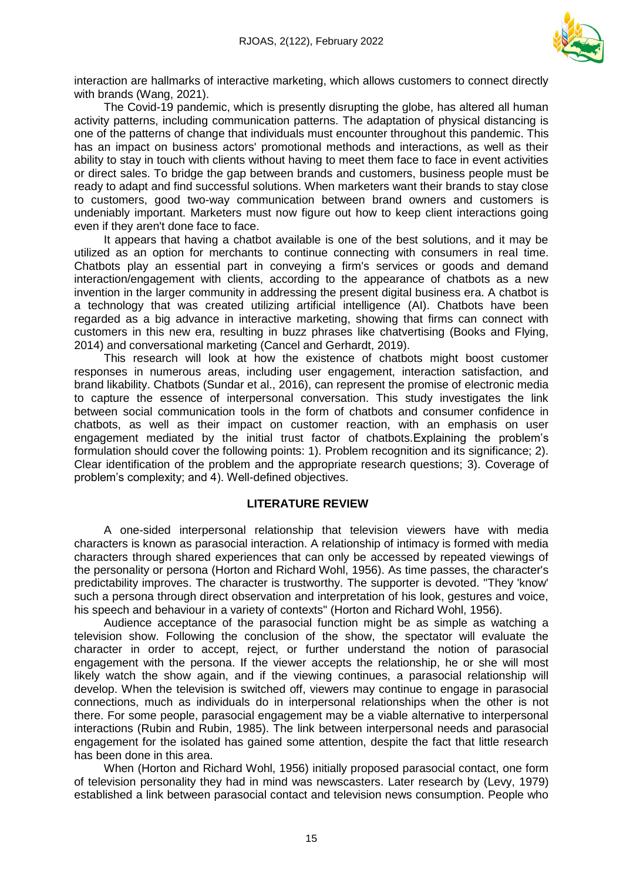

interaction are hallmarks of interactive marketing, which allows customers to connect directly with brands (Wang, 2021).

The Covid-19 pandemic, which is presently disrupting the globe, has altered all human activity patterns, including communication patterns. The adaptation of physical distancing is one of the patterns of change that individuals must encounter throughout this pandemic. This has an impact on business actors' promotional methods and interactions, as well as their ability to stay in touch with clients without having to meet them face to face in event activities or direct sales. To bridge the gap between brands and customers, business people must be ready to adapt and find successful solutions. When marketers want their brands to stay close to customers, good two-way communication between brand owners and customers is undeniably important. Marketers must now figure out how to keep client interactions going even if they aren't done face to face.

It appears that having a chatbot available is one of the best solutions, and it may be utilized as an option for merchants to continue connecting with consumers in real time. Chatbots play an essential part in conveying a firm's services or goods and demand interaction/engagement with clients, according to the appearance of chatbots as a new invention in the larger community in addressing the present digital business era. A chatbot is a technology that was created utilizing artificial intelligence (AI). Chatbots have been regarded as a big advance in interactive marketing, showing that firms can connect with customers in this new era, resulting in buzz phrases like chatvertising (Books and Flying, 2014) and conversational marketing (Cancel and Gerhardt, 2019).

This research will look at how the existence of chatbots might boost customer responses in numerous areas, including user engagement, interaction satisfaction, and brand likability. Chatbots (Sundar et al., 2016), can represent the promise of electronic media to capture the essence of interpersonal conversation. This study investigates the link between social communication tools in the form of chatbots and consumer confidence in chatbots, as well as their impact on customer reaction, with an emphasis on user engagement mediated by the initial trust factor of chatbots.Explaining the problem's formulation should cover the following points: 1). Problem recognition and its significance; 2). Clear identification of the problem and the appropriate research questions; 3). Coverage of problem's complexity; and 4). Well-defined objectives.

#### **LITERATURE REVIEW**

A one-sided interpersonal relationship that television viewers have with media characters is known as parasocial interaction. A relationship of intimacy is formed with media characters through shared experiences that can only be accessed by repeated viewings of the personality or persona (Horton and Richard Wohl, 1956). As time passes, the character's predictability improves. The character is trustworthy. The supporter is devoted. "They 'know' such a persona through direct observation and interpretation of his look, gestures and voice, his speech and behaviour in a variety of contexts" (Horton and Richard Wohl, 1956).

Audience acceptance of the parasocial function might be as simple as watching a television show. Following the conclusion of the show, the spectator will evaluate the character in order to accept, reject, or further understand the notion of parasocial engagement with the persona. If the viewer accepts the relationship, he or she will most likely watch the show again, and if the viewing continues, a parasocial relationship will develop. When the television is switched off, viewers may continue to engage in parasocial connections, much as individuals do in interpersonal relationships when the other is not there. For some people, parasocial engagement may be a viable alternative to interpersonal interactions (Rubin and Rubin, 1985). The link between interpersonal needs and parasocial engagement for the isolated has gained some attention, despite the fact that little research has been done in this area.

When (Horton and Richard Wohl, 1956) initially proposed parasocial contact, one form of television personality they had in mind was newscasters. Later research by (Levy, 1979) established a link between parasocial contact and television news consumption. People who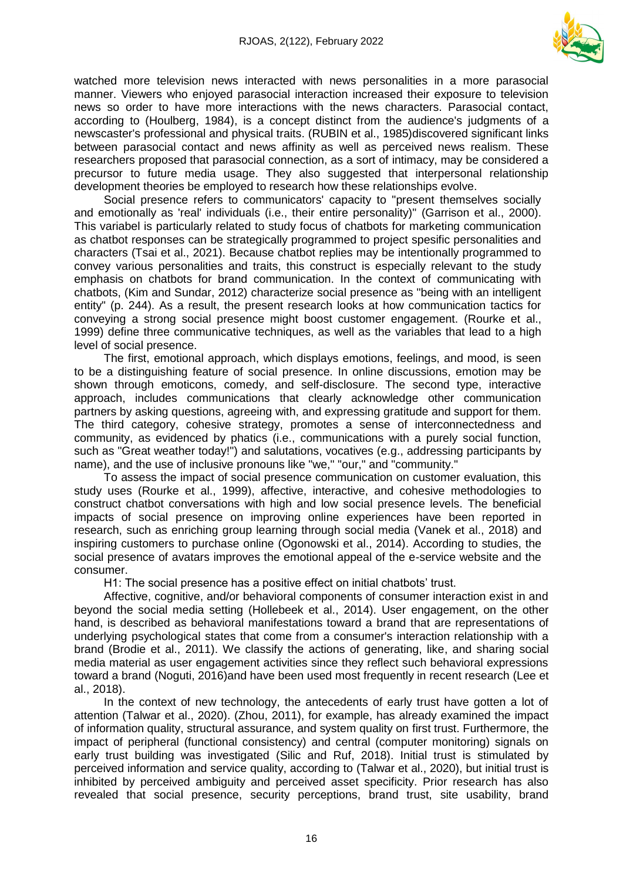

watched more television news interacted with news personalities in a more parasocial manner. Viewers who enjoyed parasocial interaction increased their exposure to television news so order to have more interactions with the news characters. Parasocial contact, according to (Houlberg, 1984), is a concept distinct from the audience's judgments of a newscaster's professional and physical traits. (RUBIN et al., 1985)discovered significant links between parasocial contact and news affinity as well as perceived news realism. These researchers proposed that parasocial connection, as a sort of intimacy, may be considered a precursor to future media usage. They also suggested that interpersonal relationship development theories be employed to research how these relationships evolve.

Social presence refers to communicators' capacity to "present themselves socially and emotionally as 'real' individuals (i.e., their entire personality)" (Garrison et al., 2000). This variabel is particularly related to study focus of chatbots for marketing communication as chatbot responses can be strategically programmed to project spesific personalities and characters (Tsai et al., 2021). Because chatbot replies may be intentionally programmed to convey various personalities and traits, this construct is especially relevant to the study emphasis on chatbots for brand communication. In the context of communicating with chatbots, (Kim and Sundar, 2012) characterize social presence as "being with an intelligent entity" (p. 244). As a result, the present research looks at how communication tactics for conveying a strong social presence might boost customer engagement. (Rourke et al., 1999) define three communicative techniques, as well as the variables that lead to a high level of social presence.

The first, emotional approach, which displays emotions, feelings, and mood, is seen to be a distinguishing feature of social presence. In online discussions, emotion may be shown through emoticons, comedy, and self-disclosure. The second type, interactive approach, includes communications that clearly acknowledge other communication partners by asking questions, agreeing with, and expressing gratitude and support for them. The third category, cohesive strategy, promotes a sense of interconnectedness and community, as evidenced by phatics (i.e., communications with a purely social function, such as "Great weather today!") and salutations, vocatives (e.g., addressing participants by name), and the use of inclusive pronouns like "we," "our," and "community."

To assess the impact of social presence communication on customer evaluation, this study uses (Rourke et al., 1999), affective, interactive, and cohesive methodologies to construct chatbot conversations with high and low social presence levels. The beneficial impacts of social presence on improving online experiences have been reported in research, such as enriching group learning through social media (Vanek et al., 2018) and inspiring customers to purchase online (Ogonowski et al., 2014). According to studies, the social presence of avatars improves the emotional appeal of the e-service website and the consumer.

H1: The social presence has a positive effect on initial chatbots' trust.

Affective, cognitive, and/or behavioral components of consumer interaction exist in and beyond the social media setting (Hollebeek et al., 2014). User engagement, on the other hand, is described as behavioral manifestations toward a brand that are representations of underlying psychological states that come from a consumer's interaction relationship with a brand (Brodie et al., 2011). We classify the actions of generating, like, and sharing social media material as user engagement activities since they reflect such behavioral expressions toward a brand (Noguti, 2016)and have been used most frequently in recent research (Lee et al., 2018).

In the context of new technology, the antecedents of early trust have gotten a lot of attention (Talwar et al., 2020). (Zhou, 2011), for example, has already examined the impact of information quality, structural assurance, and system quality on first trust. Furthermore, the impact of peripheral (functional consistency) and central (computer monitoring) signals on early trust building was investigated (Silic and Ruf, 2018). Initial trust is stimulated by perceived information and service quality, according to (Talwar et al., 2020), but initial trust is inhibited by perceived ambiguity and perceived asset specificity. Prior research has also revealed that social presence, security perceptions, brand trust, site usability, brand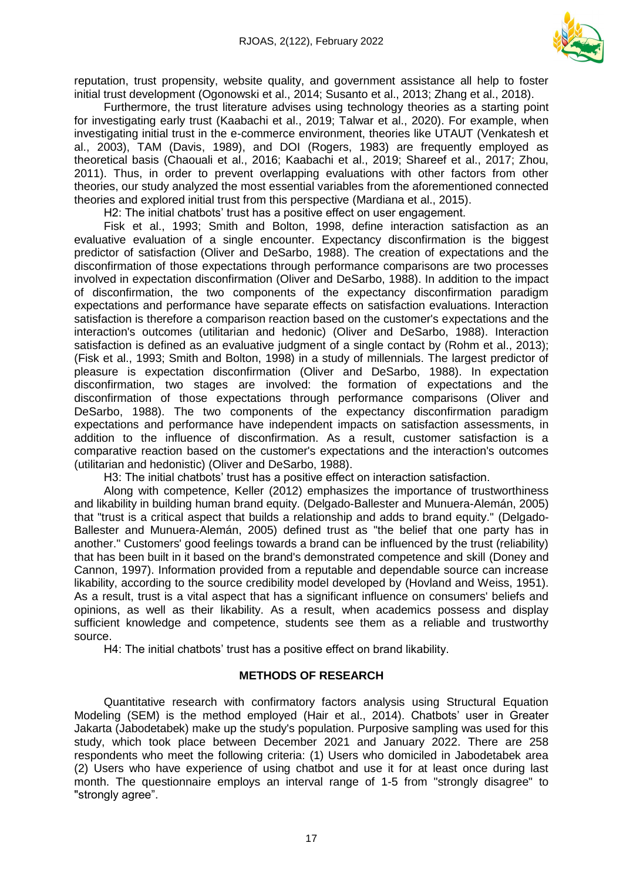

reputation, trust propensity, website quality, and government assistance all help to foster initial trust development (Ogonowski et al., 2014; Susanto et al., 2013; Zhang et al., 2018).

Furthermore, the trust literature advises using technology theories as a starting point for investigating early trust (Kaabachi et al., 2019; Talwar et al., 2020). For example, when investigating initial trust in the e-commerce environment, theories like UTAUT (Venkatesh et al., 2003), TAM (Davis, 1989), and DOI (Rogers, 1983) are frequently employed as theoretical basis (Chaouali et al., 2016; Kaabachi et al., 2019; Shareef et al., 2017; Zhou, 2011). Thus, in order to prevent overlapping evaluations with other factors from other theories, our study analyzed the most essential variables from the aforementioned connected theories and explored initial trust from this perspective (Mardiana et al., 2015).

H2: The initial chatbots' trust has a positive effect on user engagement.

Fisk et al., 1993; Smith and Bolton, 1998, define interaction satisfaction as an evaluative evaluation of a single encounter. Expectancy disconfirmation is the biggest predictor of satisfaction (Oliver and DeSarbo, 1988). The creation of expectations and the disconfirmation of those expectations through performance comparisons are two processes involved in expectation disconfirmation (Oliver and DeSarbo, 1988). In addition to the impact of disconfirmation, the two components of the expectancy disconfirmation paradigm expectations and performance have separate effects on satisfaction evaluations. Interaction satisfaction is therefore a comparison reaction based on the customer's expectations and the interaction's outcomes (utilitarian and hedonic) (Oliver and DeSarbo, 1988). Interaction satisfaction is defined as an evaluative judgment of a single contact by (Rohm et al., 2013); (Fisk et al., 1993; Smith and Bolton, 1998) in a study of millennials. The largest predictor of pleasure is expectation disconfirmation (Oliver and DeSarbo, 1988). In expectation disconfirmation, two stages are involved: the formation of expectations and the disconfirmation of those expectations through performance comparisons (Oliver and DeSarbo, 1988). The two components of the expectancy disconfirmation paradigm expectations and performance have independent impacts on satisfaction assessments, in addition to the influence of disconfirmation. As a result, customer satisfaction is a comparative reaction based on the customer's expectations and the interaction's outcomes (utilitarian and hedonistic) (Oliver and DeSarbo, 1988).

H3: The initial chatbots' trust has a positive effect on interaction satisfaction.

Along with competence, Keller (2012) emphasizes the importance of trustworthiness and likability in building human brand equity. (Delgado-Ballester and Munuera-Alemán, 2005) that "trust is a critical aspect that builds a relationship and adds to brand equity." (Delgado-Ballester and Munuera-Alemán, 2005) defined trust as "the belief that one party has in another." Customers' good feelings towards a brand can be influenced by the trust (reliability) that has been built in it based on the brand's demonstrated competence and skill (Doney and Cannon, 1997). Information provided from a reputable and dependable source can increase likability, according to the source credibility model developed by (Hovland and Weiss, 1951). As a result, trust is a vital aspect that has a significant influence on consumers' beliefs and opinions, as well as their likability. As a result, when academics possess and display sufficient knowledge and competence, students see them as a reliable and trustworthy source.

H4: The initial chatbots' trust has a positive effect on brand likability.

# **METHODS OF RESEARCH**

Quantitative research with confirmatory factors analysis using Structural Equation Modeling (SEM) is the method employed (Hair et al., 2014). Chatbots' user in Greater Jakarta (Jabodetabek) make up the study's population. Purposive sampling was used for this study, which took place between December 2021 and January 2022. There are 258 respondents who meet the following criteria: (1) Users who domiciled in Jabodetabek area (2) Users who have experience of using chatbot and use it for at least once during last month. The questionnaire employs an interval range of 1-5 from "strongly disagree" to "strongly agree".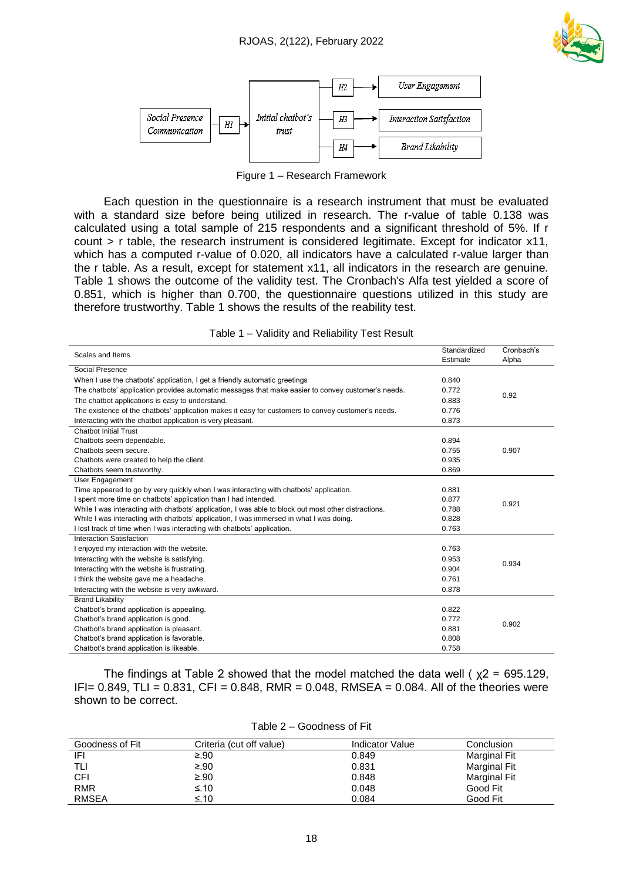



Figure 1 – Research Framework

Each question in the questionnaire is a research instrument that must be evaluated with a standard size before being utilized in research. The r-value of table 0.138 was calculated using a total sample of 215 respondents and a significant threshold of 5%. If r count > r table, the research instrument is considered legitimate. Except for indicator x11, which has a computed r-value of 0.020, all indicators have a calculated r-value larger than the r table. As a result, except for statement x11, all indicators in the research are genuine. Table 1 shows the outcome of the validity test. The Cronbach's Alfa test yielded a score of 0.851, which is higher than 0.700, the questionnaire questions utilized in this study are therefore trustworthy. Table 1 shows the results of the reability test.

| Scales and Items                                                                                     | Standardized | Cronbach's |  |
|------------------------------------------------------------------------------------------------------|--------------|------------|--|
|                                                                                                      | Estimate     | Alpha      |  |
| Social Presence                                                                                      |              |            |  |
| When I use the chatbots' application, I get a friendly automatic greetings                           | 0.840        |            |  |
| The chatbots' application provides automatic messages that make easier to convey customer's needs.   | 0.772        | 0.92       |  |
| The chatbot applications is easy to understand.                                                      | 0.883        |            |  |
| The existence of the chatbots' application makes it easy for customers to convey customer's needs.   | 0.776        |            |  |
| Interacting with the chatbot application is very pleasant.                                           | 0.873        |            |  |
| <b>Chatbot Initial Trust</b>                                                                         |              |            |  |
| Chatbots seem dependable.                                                                            | 0.894        |            |  |
| Chatbots seem secure.                                                                                | 0.755        | 0.907      |  |
| Chatbots were created to help the client.                                                            | 0.935        |            |  |
| Chatbots seem trustworthy.                                                                           | 0.869        |            |  |
| User Engagement                                                                                      |              |            |  |
| Time appeared to go by very quickly when I was interacting with chatbots' application.               | 0.881        |            |  |
| I spent more time on chatbots' application than I had intended.                                      | 0.877        | 0.921      |  |
| While I was interacting with chatbots' application, I was able to block out most other distractions. | 0.788        |            |  |
| While I was interacting with chatbots' application, I was immersed in what I was doing.              | 0.828        |            |  |
| I lost track of time when I was interacting with chatbots' application.                              | 0.763        |            |  |
| Interaction Satisfaction                                                                             |              |            |  |
| I enjoyed my interaction with the website.                                                           | 0.763        |            |  |
| Interacting with the website is satisfying.                                                          | 0.953        | 0.934      |  |
| Interacting with the website is frustrating.                                                         | 0.904        |            |  |
| I think the website gave me a headache.                                                              | 0.761        |            |  |
| Interacting with the website is very awkward.                                                        | 0.878        |            |  |
| <b>Brand Likability</b>                                                                              |              |            |  |
| Chatbot's brand application is appealing.                                                            | 0.822        |            |  |
| Chatbot's brand application is good.                                                                 | 0.772        | 0.902      |  |
| Chatbot's brand application is pleasant.                                                             | 0.881        |            |  |
| Chatbot's brand application is favorable.                                                            | 0.808        |            |  |
| Chatbot's brand application is likeable.                                                             | 0.758        |            |  |

|  |  | Table 1 – Validity and Reliability Test Result |
|--|--|------------------------------------------------|
|  |  |                                                |

The findings at Table 2 showed that the model matched the data well ( $x2 = 695.129$ ) IFI=  $0.849$ , TLI =  $0.831$ , CFI =  $0.848$ , RMR =  $0.048$ , RMSEA =  $0.084$ . All of the theories were shown to be correct.

| Goodness of Fit | Criteria (cut off value) | Indicator Value | Conclusion          |
|-----------------|--------------------------|-----------------|---------------------|
| IFI             | ≥.90                     | 0.849           | Marginal Fit        |
| TLI             | ≥.90                     | 0.831           | <b>Marginal Fit</b> |
| CFI             | $\geq .90$               | 0.848           | <b>Marginal Fit</b> |
| <b>RMR</b>      | ≤.10                     | 0.048           | Good Fit            |
| <b>RMSEA</b>    | $\leq$ .10               | 0.084           | Good Fit            |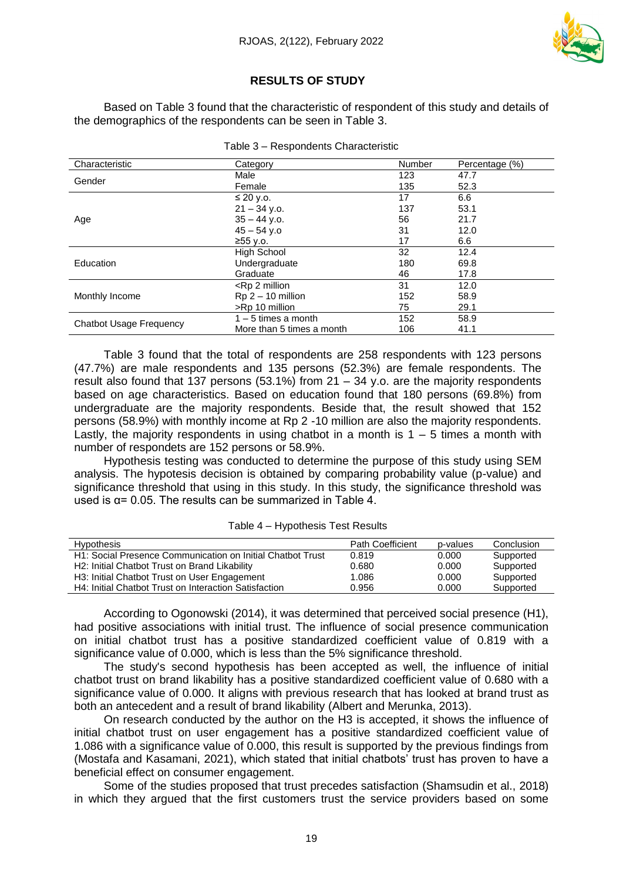

# **RESULTS OF STUDY**

Based on Table 3 found that the characteristic of respondent of this study and details of the demographics of the respondents can be seen in Table 3.

| Characteristic                 | Category                                                 | Number | Percentage (%) |
|--------------------------------|----------------------------------------------------------|--------|----------------|
| Gender                         | Male                                                     | 123    | 47.7           |
|                                | Female                                                   | 135    | 52.3           |
|                                | $\leq$ 20 y.o.                                           | 17     | 6.6            |
|                                | $21 - 34$ v.o.                                           | 137    | 53.1           |
| Age                            | $35 - 44$ y.o.                                           | 56     | 21.7           |
|                                | $45 - 54$ y.o                                            | 31     | 12.0           |
|                                | ≥55 y.o.                                                 | 17     | 6.6            |
|                                | <b>High School</b>                                       | 32     | 12.4           |
| Education                      | Undergraduate                                            | 180    | 69.8           |
|                                | Graduate                                                 | 46     | 17.8           |
|                                | <rp 2="" million<="" td=""><td>31</td><td>12.0</td></rp> | 31     | 12.0           |
| Monthly Income                 | $Rp 2 – 10$ million                                      | 152    | 58.9           |
|                                | >Rp 10 million                                           | 75     | 29.1           |
|                                | $1 - 5$ times a month                                    | 152    | 58.9           |
| <b>Chatbot Usage Frequency</b> | More than 5 times a month                                | 106    | 41.1           |

|  | Table 3 - Respondents Characteristic |  |
|--|--------------------------------------|--|
|  |                                      |  |

Table 3 found that the total of respondents are 258 respondents with 123 persons (47.7%) are male respondents and 135 persons (52.3%) are female respondents. The result also found that 137 persons (53.1%) from  $21 - 34$  y.o. are the majority respondents based on age characteristics. Based on education found that 180 persons (69.8%) from undergraduate are the majority respondents. Beside that, the result showed that 152 persons (58.9%) with monthly income at Rp 2 -10 million are also the majority respondents. Lastly, the majority respondents in using chatbot in a month is  $1 - 5$  times a month with number of respondets are 152 persons or 58.9%.

Hypothesis testing was conducted to determine the purpose of this study using SEM analysis. The hypotesis decision is obtained by comparing probability value (p-value) and significance threshold that using in this study. In this study, the significance threshold was used is  $\alpha$ = 0.05. The results can be summarized in Table 4.

| <b>Hypothesis</b>                                          | <b>Path Coefficient</b> | p-values | Conclusion |
|------------------------------------------------------------|-------------------------|----------|------------|
| H1: Social Presence Communication on Initial Chatbot Trust | 0.819                   | 0.000    | Supported  |
| H2: Initial Chatbot Trust on Brand Likability              | 0.680                   | 0.000    | Supported  |
| H3: Initial Chatbot Trust on User Engagement               | 1.086                   | 0.000    | Supported  |
| H4: Initial Chatbot Trust on Interaction Satisfaction      | 0.956                   | 0.000    | Supported  |

Table 4 – Hypothesis Test Results

According to Ogonowski (2014), it was determined that perceived social presence (H1), had positive associations with initial trust. The influence of social presence communication on initial chatbot trust has a positive standardized coefficient value of 0.819 with a significance value of 0.000, which is less than the 5% significance threshold.

The study's second hypothesis has been accepted as well, the influence of initial chatbot trust on brand likability has a positive standardized coefficient value of 0.680 with a significance value of 0.000. It aligns with previous research that has looked at brand trust as both an antecedent and a result of brand likability (Albert and Merunka, 2013).

On research conducted by the author on the H3 is accepted, it shows the influence of initial chatbot trust on user engagement has a positive standardized coefficient value of 1.086 with a significance value of 0.000, this result is supported by the previous findings from (Mostafa and Kasamani, 2021), which stated that initial chatbots' trust has proven to have a beneficial effect on consumer engagement.

Some of the studies proposed that trust precedes satisfaction (Shamsudin et al., 2018) in which they argued that the first customers trust the service providers based on some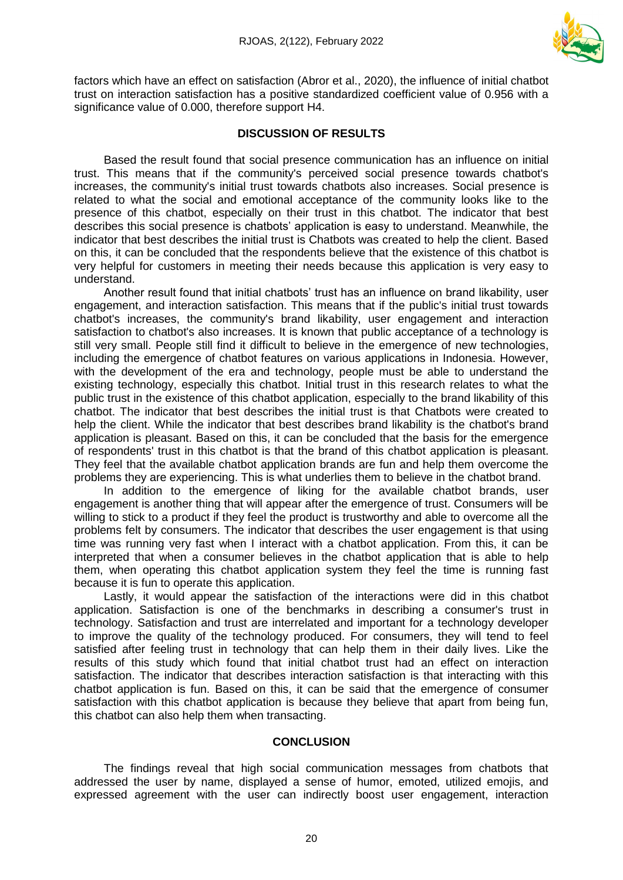

factors which have an effect on satisfaction (Abror et al., 2020), the influence of initial chatbot trust on interaction satisfaction has a positive standardized coefficient value of 0.956 with a significance value of 0.000, therefore support H4.

## **DISCUSSION OF RESULTS**

Based the result found that social presence communication has an influence on initial trust. This means that if the community's perceived social presence towards chatbot's increases, the community's initial trust towards chatbots also increases. Social presence is related to what the social and emotional acceptance of the community looks like to the presence of this chatbot, especially on their trust in this chatbot. The indicator that best describes this social presence is chatbots' application is easy to understand. Meanwhile, the indicator that best describes the initial trust is Chatbots was created to help the client. Based on this, it can be concluded that the respondents believe that the existence of this chatbot is very helpful for customers in meeting their needs because this application is very easy to understand.

Another result found that initial chatbots' trust has an influence on brand likability, user engagement, and interaction satisfaction. This means that if the public's initial trust towards chatbot's increases, the community's brand likability, user engagement and interaction satisfaction to chatbot's also increases. It is known that public acceptance of a technology is still very small. People still find it difficult to believe in the emergence of new technologies, including the emergence of chatbot features on various applications in Indonesia. However, with the development of the era and technology, people must be able to understand the existing technology, especially this chatbot. Initial trust in this research relates to what the public trust in the existence of this chatbot application, especially to the brand likability of this chatbot. The indicator that best describes the initial trust is that Chatbots were created to help the client. While the indicator that best describes brand likability is the chatbot's brand application is pleasant. Based on this, it can be concluded that the basis for the emergence of respondents' trust in this chatbot is that the brand of this chatbot application is pleasant. They feel that the available chatbot application brands are fun and help them overcome the problems they are experiencing. This is what underlies them to believe in the chatbot brand.

In addition to the emergence of liking for the available chatbot brands, user engagement is another thing that will appear after the emergence of trust. Consumers will be willing to stick to a product if they feel the product is trustworthy and able to overcome all the problems felt by consumers. The indicator that describes the user engagement is that using time was running very fast when I interact with a chatbot application. From this, it can be interpreted that when a consumer believes in the chatbot application that is able to help them, when operating this chatbot application system they feel the time is running fast because it is fun to operate this application.

Lastly, it would appear the satisfaction of the interactions were did in this chatbot application. Satisfaction is one of the benchmarks in describing a consumer's trust in technology. Satisfaction and trust are interrelated and important for a technology developer to improve the quality of the technology produced. For consumers, they will tend to feel satisfied after feeling trust in technology that can help them in their daily lives. Like the results of this study which found that initial chatbot trust had an effect on interaction satisfaction. The indicator that describes interaction satisfaction is that interacting with this chatbot application is fun. Based on this, it can be said that the emergence of consumer satisfaction with this chatbot application is because they believe that apart from being fun, this chatbot can also help them when transacting.

#### **CONCLUSION**

The findings reveal that high social communication messages from chatbots that addressed the user by name, displayed a sense of humor, emoted, utilized emojis, and expressed agreement with the user can indirectly boost user engagement, interaction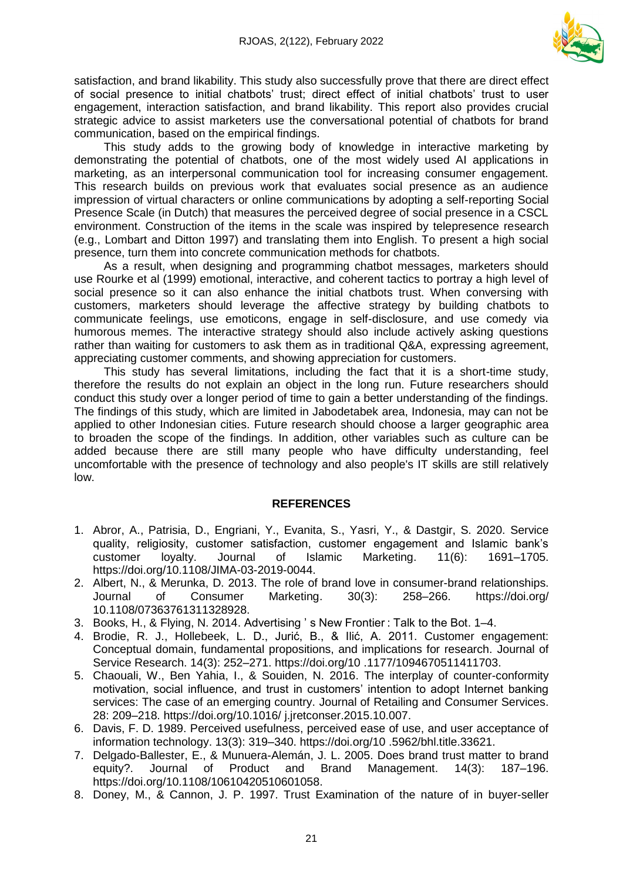

satisfaction, and brand likability. This study also successfully prove that there are direct effect of social presence to initial chatbots' trust; direct effect of initial chatbots' trust to user engagement, interaction satisfaction, and brand likability. This report also provides crucial strategic advice to assist marketers use the conversational potential of chatbots for brand communication, based on the empirical findings.

This study adds to the growing body of knowledge in interactive marketing by demonstrating the potential of chatbots, one of the most widely used AI applications in marketing, as an interpersonal communication tool for increasing consumer engagement. This research builds on previous work that evaluates social presence as an audience impression of virtual characters or online communications by adopting a self-reporting Social Presence Scale (in Dutch) that measures the perceived degree of social presence in a CSCL environment. Construction of the items in the scale was inspired by telepresence research (e.g., Lombart and Ditton 1997) and translating them into English. To present a high social presence, turn them into concrete communication methods for chatbots.

As a result, when designing and programming chatbot messages, marketers should use Rourke et al (1999) emotional, interactive, and coherent tactics to portray a high level of social presence so it can also enhance the initial chatbots trust. When conversing with customers, marketers should leverage the affective strategy by building chatbots to communicate feelings, use emoticons, engage in self-disclosure, and use comedy via humorous memes. The interactive strategy should also include actively asking questions rather than waiting for customers to ask them as in traditional Q&A, expressing agreement, appreciating customer comments, and showing appreciation for customers.

This study has several limitations, including the fact that it is a short-time study, therefore the results do not explain an object in the long run. Future researchers should conduct this study over a longer period of time to gain a better understanding of the findings. The findings of this study, which are limited in Jabodetabek area, Indonesia, may can not be applied to other Indonesian cities. Future research should choose a larger geographic area to broaden the scope of the findings. In addition, other variables such as culture can be added because there are still many people who have difficulty understanding, feel uncomfortable with the presence of technology and also people's IT skills are still relatively low.

#### **REFERENCES**

- 1. Abror, A., Patrisia, D., Engriani, Y., Evanita, S., Yasri, Y., & Dastgir, S. 2020. Service quality, religiosity, customer satisfaction, customer engagement and Islamic bank's customer loyalty. Journal of Islamic Marketing. 11(6): 1691–1705. https://doi.org/10.1108/JIMA-03-2019-0044.
- 2. Albert, N., & Merunka, D. 2013. The role of brand love in consumer-brand relationships. Journal of Consumer Marketing. 30(3): 258–266. https://doi.org/ 10.1108/07363761311328928.
- 3. Books, H., & Flying, N. 2014. Advertising ' s New Frontier : Talk to the Bot. 1–4.
- 4. Brodie, R. J., Hollebeek, L. D., Jurić, B., & Ilić, A. 2011. Customer engagement: Conceptual domain, fundamental propositions, and implications for research. Journal of Service Research. 14(3): 252–271. https://doi.org/10 .1177/1094670511411703.
- 5. Chaouali, W., Ben Yahia, I., & Souiden, N. 2016. The interplay of counter-conformity motivation, social influence, and trust in customers' intention to adopt Internet banking services: The case of an emerging country. Journal of Retailing and Consumer Services. 28: 209–218. https://doi.org/10.1016/ j.jretconser.2015.10.007.
- 6. Davis, F. D. 1989. Perceived usefulness, perceived ease of use, and user acceptance of information technology. 13(3): 319–340. https://doi.org/10 .5962/bhl.title.33621.
- 7. Delgado-Ballester, E., & Munuera-Alemán, J. L. 2005. Does brand trust matter to brand equity?. Journal of Product and Brand Management. 14(3): 187–196. https://doi.org/10.1108/10610420510601058.
- 8. Doney, M., & Cannon, J. P. 1997. Trust Examination of the nature of in buyer-seller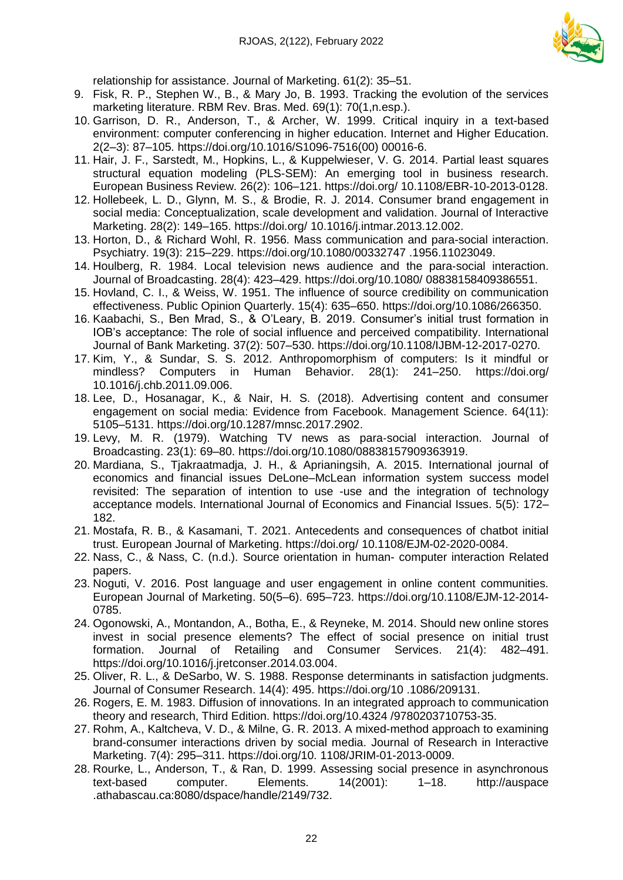

relationship for assistance. Journal of Marketing. 61(2): 35–51.

- 9. Fisk, R. P., Stephen W., B., & Mary Jo, B. 1993. Tracking the evolution of the services marketing literature. RBM Rev. Bras. Med. 69(1): 70(1,n.esp.).
- 10. Garrison, D. R., Anderson, T., & Archer, W. 1999. Critical inquiry in a text-based environment: computer conferencing in higher education. Internet and Higher Education. 2(2–3): 87–105. https://doi.org/10.1016/S1096-7516(00) 00016-6.
- 11. Hair, J. F., Sarstedt, M., Hopkins, L., & Kuppelwieser, V. G. 2014. Partial least squares structural equation modeling (PLS-SEM): An emerging tool in business research. European Business Review. 26(2): 106–121. https://doi.org/ 10.1108/EBR-10-2013-0128.
- 12. Hollebeek, L. D., Glynn, M. S., & Brodie, R. J. 2014. Consumer brand engagement in social media: Conceptualization, scale development and validation. Journal of Interactive Marketing. 28(2): 149–165. https://doi.org/ 10.1016/j.intmar.2013.12.002.
- 13. Horton, D., & Richard Wohl, R. 1956. Mass communication and para-social interaction. Psychiatry. 19(3): 215–229. https://doi.org/10.1080/00332747 .1956.11023049.
- 14. Houlberg, R. 1984. Local television news audience and the para‐social interaction. Journal of Broadcasting. 28(4): 423–429. https://doi.org/10.1080/ 08838158409386551.
- 15. Hovland, C. I., & Weiss, W. 1951. The influence of source credibility on communication effectiveness. Public Opinion Quarterly. 15(4): 635–650. https://doi.org/10.1086/266350.
- 16. Kaabachi, S., Ben Mrad, S., & O'Leary, B. 2019. Consumer's initial trust formation in IOB's acceptance: The role of social influence and perceived compatibility. International Journal of Bank Marketing. 37(2): 507–530. https://doi.org/10.1108/IJBM-12-2017-0270.
- 17. Kim, Y., & Sundar, S. S. 2012. Anthropomorphism of computers: Is it mindful or mindless? Computers in Human Behavior. 28(1): 241–250. https://doi.org/ 10.1016/j.chb.2011.09.006.
- 18. Lee, D., Hosanagar, K., & Nair, H. S. (2018). Advertising content and consumer engagement on social media: Evidence from Facebook. Management Science. 64(11): 5105–5131. https://doi.org/10.1287/mnsc.2017.2902.
- 19. Levy, M. R. (1979). Watching TV news as para‐social interaction. Journal of Broadcasting. 23(1): 69–80. https://doi.org/10.1080/08838157909363919.
- 20. Mardiana, S., Tjakraatmadja, J. H., & Aprianingsih, A. 2015. International journal of economics and financial issues DeLone–McLean information system success model revisited: The separation of intention to use -use and the integration of technology acceptance models. International Journal of Economics and Financial Issues. 5(5): 172– 182.
- 21. Mostafa, R. B., & Kasamani, T. 2021. Antecedents and consequences of chatbot initial trust. European Journal of Marketing. https://doi.org/ 10.1108/EJM-02-2020-0084.
- 22. Nass, C., & Nass, C. (n.d.). Source orientation in human- computer interaction Related papers.
- 23. Noguti, V. 2016. Post language and user engagement in online content communities. European Journal of Marketing. 50(5–6). 695–723. https://doi.org/10.1108/EJM-12-2014- 0785.
- 24. Ogonowski, A., Montandon, A., Botha, E., & Reyneke, M. 2014. Should new online stores invest in social presence elements? The effect of social presence on initial trust formation. Journal of Retailing and Consumer Services. 21(4): 482–491. https://doi.org/10.1016/j.jretconser.2014.03.004.
- 25. Oliver, R. L., & DeSarbo, W. S. 1988. Response determinants in satisfaction judgments. Journal of Consumer Research. 14(4): 495. https://doi.org/10 .1086/209131.
- 26. Rogers, E. M. 1983. Diffusion of innovations. In an integrated approach to communication theory and research, Third Edition. https://doi.org/10.4324 /9780203710753-35.
- 27. Rohm, A., Kaltcheva, V. D., & Milne, G. R. 2013. A mixed-method approach to examining brand-consumer interactions driven by social media. Journal of Research in Interactive Marketing. 7(4): 295–311. https://doi.org/10. 1108/JRIM-01-2013-0009.
- 28. Rourke, L., Anderson, T., & Ran, D. 1999. Assessing social presence in asynchronous text-based computer. Elements. 14(2001): 1–18. http://auspace .athabascau.ca:8080/dspace/handle/2149/732.